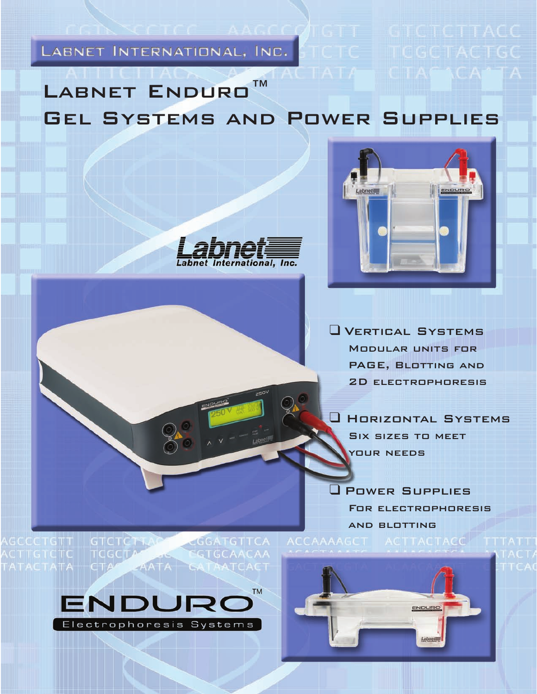LABNET INTERNATIONAL, INC. STOTE

LABNET ENDURO<sup>™</sup> Gel Systems and Power Supplies



**AAGCONGTT GICTCTTACC** 

**CTAL** 



❑ Horizontal Systems Six sizes to meet your needs

❑ Power Supplies For electrophoresis and blotting ACCAAAAGCT ACTTACTACC

ational. Inc.

**TICGCTA** 

GGATGTTCA  ${\sf GTCTCTAAC}$  $AATA$ **GATAATCACT** 



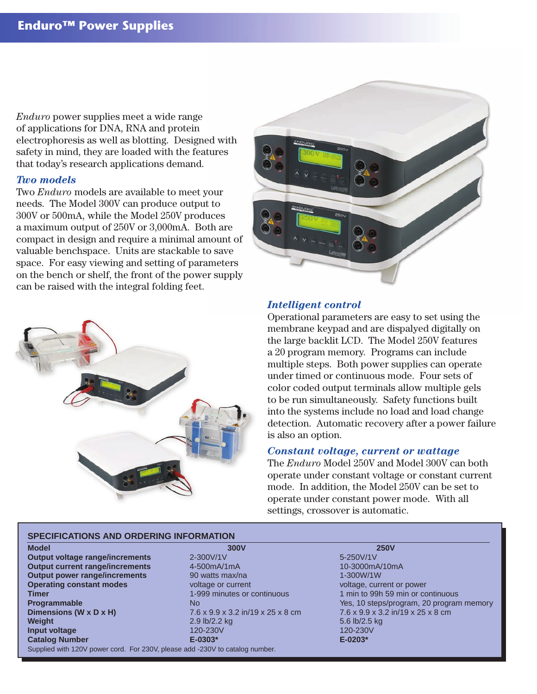*Enduro* power supplies meet a wide range of applications for DNA, RNA and protein electrophoresis as well as blotting. Designed with safety in mind, they are loaded with the features that today's research applications demand.

#### *Two models*

Two *Enduro* models are available to meet your needs. The Model 300V can produce output to 300V or 500mA, while the Model 250V produces a maximum output of 250V or 3,000mA. Both are compact in design and require a minimal amount of valuable benchspace. Units are stackable to save space. For easy viewing and setting of parameters on the bench or shelf, the front of the power supply can be raised with the integral folding feet.





#### *Intelligent control*

Operational parameters are easy to set using the membrane keypad and are dispalyed digitally on the large backlit LCD. The Model 250V features a 20 program memory. Programs can include multiple steps. Both power supplies can operate under timed or continuous mode. Four sets of color coded output terminals allow multiple gels to be run simultaneously. Safety functions built into the systems include no load and load change detection. Automatic recovery after a power failure is also an option.

#### *Constant voltage, current or wattage*

The *Enduro* Model 250V and Model 300V can both operate under constant voltage or constant current mode. In addition, the Model 250V can be set to operate under constant power mode. With all settings, crossover is automatic.

#### **SPECIFICATIONS AND ORDERING INFORMATION**

**Model 300V 250V Output voltage range/increments** 2-300V/1V 2010 10:00 5-250V/1V **Output current range/increments** 4-500mA/1mA 10-3000mA/10mA **Output power range/increments** 90 watts max/na 1-300W/1W **Operating constant modes** voltage or current voltage, current voltage, current or power **Timer** 1-999 minutes or continuous 1 min to 99h 59 min or continuous **Dimensions (W x D x H)** 7.6 x 9.9 x 3.2 in/19 x 25 x 8 cm 7.6 x 9.9 x 3.2 in/19 x 25 x 8 cm **Weight** 2.9 lb/2.2 kg 5.6 lb/2.5 kg 5.6 lb/2.5 kg 5.6 lb/2.5 kg 5.6 lb/2.5 kg 5.6 lb/2.5 kg 5.6 lb/2.5 kg 5.6 lb/2.5 kg 5.6 lb/2.5 kg 5.6 lb/2.5 kg 5.6 lb/2.5 kg 5.6 lb/2.5 kg 5.6 lb/2.5 kg 5.6 lb/2.5 kg 5.6 lb/2.5 kg 5.6 **Input voltage 120-230V 120-230V 120-230V 120-230V** 120-230V 120-230V 120-230V 120-230V **Catalog Number E-0303\* E-0203\*** Supplied with 120V power cord. For 230V, please add -230V to catalog number.

**Programmable No** No Yes, 10 steps/program, 20 program memory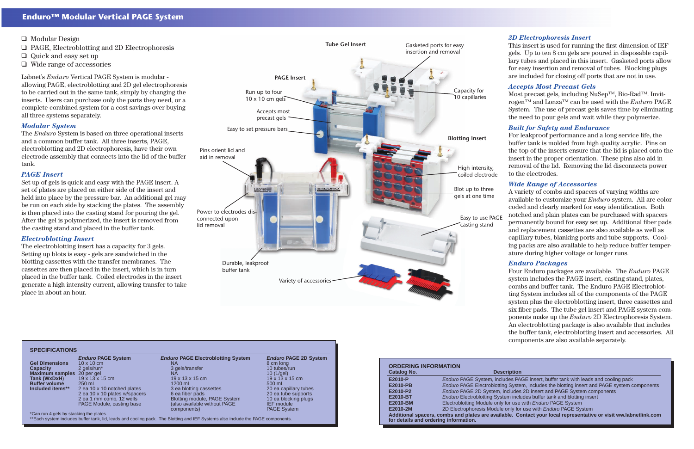Labnet's *Enduro* Vertical PAGE System is modular allowing PAGE, electroblotting and 2D gel electrophoresis to be carried out in the same tank, simply by changing the inserts. Users can purchase only the parts they need, or a complete combined system for a cost savings over buying all three systems separately.

## *Modular System*

The *Enduro* System is based on three operational inserts and a common buffer tank. All three inserts, PAGE, electroblotting and 2D electrophoresis, have their own electrode assembly that connects into the lid of the buffer tank.

## *PAGE Insert*

Set up of gels is quick and easy with the PAGE insert. A set of plates are placed on either side of the insert and held into place by the pressure bar. An additional gel may be run on each side by stacking the plates. The assembly is then placed into the casting stand for pouring the gel. After the gel is polymerized, the insert is removed from the casting stand and placed in the buffer tank.

## *Electroblotting Insert*

The electroblotting insert has a capacity for 3 gels. Setting up blots is easy - gels are sandwiched in the blotting cassettes with the transfer membranes. The cassettes are then placed in the insert, which is in turn placed in the buffer tank. Coiled electrodes in the insert generate a high intensity current, allowing transfer to take place in about an hour.

### *2D Electrophoresis Insert*

This insert is used for running the first dimension of IEF gels. Up to ten 8 cm gels are poured in disposable capillary tubes and placed in this insert. Gasketed ports allow for easy insertion and removal of tubes. Blocking plugs are included for closing off ports that are not in use.

#### *Accepts Most Precast Gels*

Most precast gels, including NuSep™, Bio-Rad™. Invitrogen™ and Lonza™ can be used with the *Enduro* PAGE System. The use of precast gels saves time by eliminating the need to pour gels and wait while they polymerize.

#### *Built for Safety and Endurance*

For leakproof performance and a long service life, the buffer tank is molded from high quality acrylic. Pins on the top of the inserts ensure that the lid is placed onto the insert in the proper orientation. These pins also aid in removal of the lid. Removing the lid disconnects power to the electrodes.

### *Wide Range of Accessories*

A variety of combs and spacers of varying widths are available to customize your *Enduro* system. All are color coded and clearly marked for easy identification. Both notched and plain plates can be purchased with spacers permanently bound for easy set up. Additional fiber pads and replacement cassettes are also available as well as capillary tubes, blanking ports and tube supports. Cooling packs are also available to help reduce buffer temperature during higher voltage or longer runs.

### *Enduro Packages*

Four Enduro packages are available. The *Enduro* PAGE system includes the PAGE insert, casting stand, plates, combs and buffer tank. The Enduro PAGE Electroblotting System includes all of the components of the PAGE system plus the electroblotting insert, three cassettes and six fiber pads. The tube gel insert and PAGE system components make up the *Enduro* 2D Electrophoresis System. An electroblotting package is also available that includes the buffer tank, electroblotting insert and accessories. All components are also available separately.

**PAGE insert, buffer tank with leads and cooling pack** *extem, includes the blotting insert and PAGE system components* **E2010** *E* insert and PAGE System components **Includes buffer tank and blotting insert E2010-Biddary PAGE System for use with Enduro PAGE System Contact your local representative or visit ww.labnetlink.com** 

| <b>ORDERING INFORMATION</b>           |                                                        |  |  |  |
|---------------------------------------|--------------------------------------------------------|--|--|--|
| <b>Catalog No.</b>                    | <b>Description</b>                                     |  |  |  |
| E2010-P                               | <b>Enduro PAGE System, includes PA</b>                 |  |  |  |
| <b>E2010-PB</b>                       | <b>Enduro PAGE Electroblotting Syste</b>               |  |  |  |
| E2010-P2                              | Enduro PAGE 2D System, includes                        |  |  |  |
| E2010-BT                              | <b>Enduro Electroblotting System inclu</b>             |  |  |  |
| E2010-BM                              | Electroblotting Module only for use                    |  |  |  |
| E2010-2M                              | 2D Electrophoresis Module only for                     |  |  |  |
| for details and ordering information. | Additional spacers, combs and plates are available. Co |  |  |  |

| <b>SPECIFICATIONS</b>                   |                               |                                           |                              |
|-----------------------------------------|-------------------------------|-------------------------------------------|------------------------------|
|                                         | <b>Enduro PAGE System</b>     | <b>Enduro PAGE Electroblotting System</b> | <b>Enduro PAGE 2D System</b> |
| <b>Gel Dimensions</b>                   | $10 \times 10$ cm             | ΝA                                        | 8 cm long                    |
| <b>Capacity</b>                         | 2 gels/run*                   | 3 gels/transfer                           | 10 tubes/run                 |
| Maximum samples 20 per gel              |                               | ΝA                                        | 10 $(1/\text{gel})$          |
| Tank (WxDxH)                            | $19 \times 13 \times 15$ cm   | $19 \times 13 \times 15$ cm               | $19 \times 13 \times 15$ cm  |
| <b>Buffer volume</b>                    | 250 mL                        | 1200 mL                                   | 500 mL                       |
| Included items**                        | 2 ea 10 x 10 notched plates   | 3 ea blotting cassettes                   | 20 ea capillary tubes        |
|                                         | 2 ea 10 x 10 plates w/spacers | 6 ea fiber pads                           | 20 ea tube supports          |
|                                         | 2 ea 1 mm comb, 12 wells      | <b>Blotting module, PAGE System</b>       | 10 ea blocking plugs         |
|                                         | PAGE Module, casting base     | (also available without PAGE              | <b>IEF</b> module            |
|                                         |                               | components)                               | <b>PAGE System</b>           |
| *Can run 4 gels by stacking the plates. |                               |                                           |                              |

\*Can run 4 gels by stacking the plates.

\*\*Each system includes buffer tank, lid, leads and cooling pack. The Blotting and IEF Systems also include the PAGE components.



- ❑ Modular Design
- ❑ PAGE, Electroblotting and 2D Electrophoresis
- ❑ Quick and easy set up
- ❑ Wide range of accessories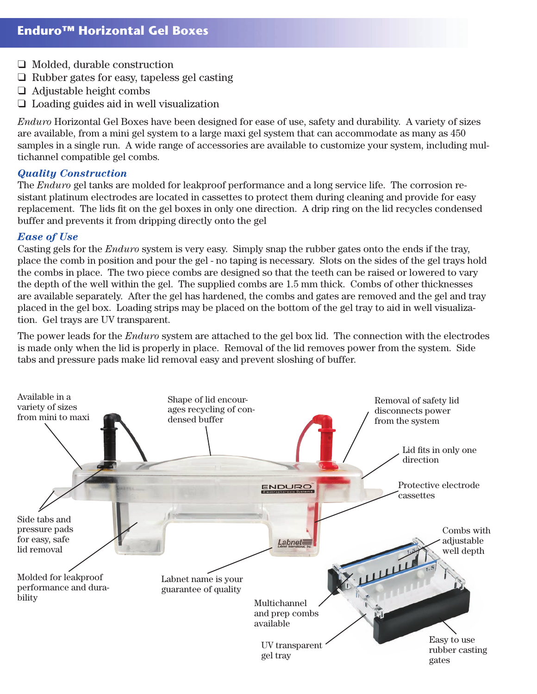- ❑ Molded, durable construction
- ❑ Rubber gates for easy, tapeless gel casting
- ❑ Adjustable height combs
- ❑ Loading guides aid in well visualization

*Enduro* Horizontal Gel Boxes have been designed for ease of use, safety and durability. A variety of sizes are available, from a mini gel system to a large maxi gel system that can accommodate as many as 450 samples in a single run. A wide range of accessories are available to customize your system, including multichannel compatible gel combs.

## *Quality Construction*

The *Enduro* gel tanks are molded for leakproof performance and a long service life. The corrosion resistant platinum electrodes are located in cassettes to protect them during cleaning and provide for easy replacement. The lids fit on the gel boxes in only one direction. A drip ring on the lid recycles condensed buffer and prevents it from dripping directly onto the gel

## *Ease of Use*

Casting gels for the *Enduro* system is very easy. Simply snap the rubber gates onto the ends if the tray, place the comb in position and pour the gel - no taping is necessary. Slots on the sides of the gel trays hold the combs in place. The two piece combs are designed so that the teeth can be raised or lowered to vary the depth of the well within the gel. The supplied combs are 1.5 mm thick. Combs of other thicknesses are available separately. After the gel has hardened, the combs and gates are removed and the gel and tray placed in the gel box. Loading strips may be placed on the bottom of the gel tray to aid in well visualization. Gel trays are UV transparent.

The power leads for the *Enduro* system are attached to the gel box lid. The connection with the electrodes is made only when the lid is properly in place. Removal of the lid removes power from the system. Side tabs and pressure pads make lid removal easy and prevent sloshing of buffer.